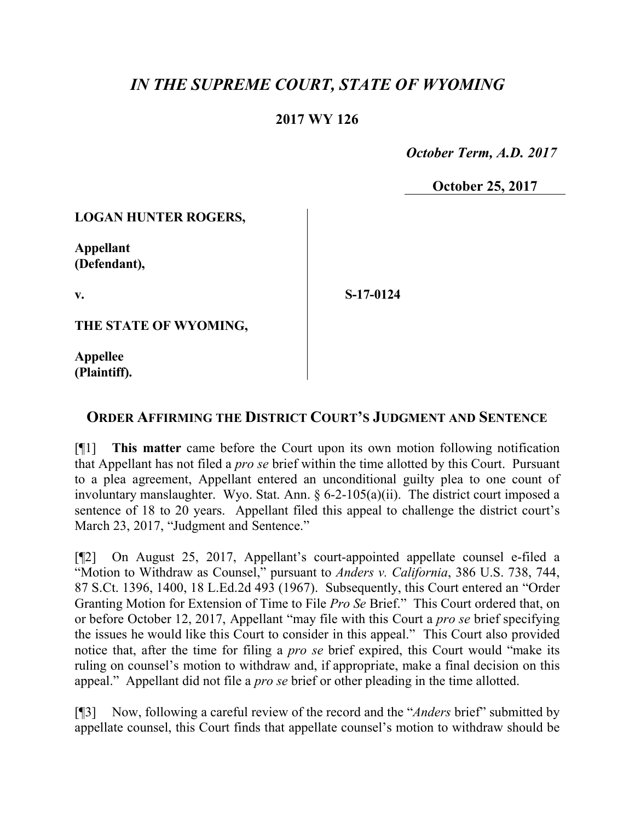# *IN THE SUPREME COURT, STATE OF WYOMING*

### **2017 WY 126**

 *October Term, A.D. 2017*

**October 25, 2017**

#### **LOGAN HUNTER ROGERS,**

**Appellant (Defendant),**

**v.**

**S-17-0124**

**THE STATE OF WYOMING,**

**Appellee (Plaintiff).**

## **ORDER AFFIRMING THE DISTRICT COURT'S JUDGMENT AND SENTENCE**

[¶1] **This matter** came before the Court upon its own motion following notification that Appellant has not filed a *pro se* brief within the time allotted by this Court. Pursuant to a plea agreement, Appellant entered an unconditional guilty plea to one count of involuntary manslaughter. Wyo. Stat. Ann. § 6-2-105(a)(ii). The district court imposed a sentence of 18 to 20 years. Appellant filed this appeal to challenge the district court's March 23, 2017, "Judgment and Sentence."

[¶2] On August 25, 2017, Appellant's court-appointed appellate counsel e-filed a "Motion to Withdraw as Counsel," pursuant to *Anders v. California*, 386 U.S. 738, 744, 87 S.Ct. 1396, 1400, 18 L.Ed.2d 493 (1967). Subsequently, this Court entered an "Order Granting Motion for Extension of Time to File *Pro Se* Brief." This Court ordered that, on or before October 12, 2017, Appellant "may file with this Court a *pro se* brief specifying the issues he would like this Court to consider in this appeal." This Court also provided notice that, after the time for filing a *pro se* brief expired, this Court would "make its ruling on counsel's motion to withdraw and, if appropriate, make a final decision on this appeal." Appellant did not file a *pro se* brief or other pleading in the time allotted.

[¶3] Now, following a careful review of the record and the "*Anders* brief" submitted by appellate counsel, this Court finds that appellate counsel's motion to withdraw should be